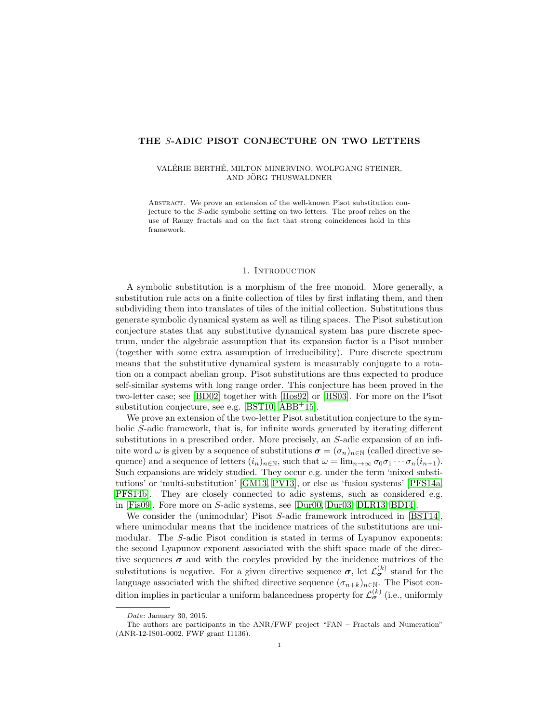# THE S-ADIC PISOT CONJECTURE ON TWO LETTERS

## VALÉRIE BERTHÉ, MILTON MINERVINO, WOLFGANG STEINER, AND JÖRG THUSWALDNER

Abstract. We prove an extension of the well-known Pisot substitution conjecture to the S-adic symbolic setting on two letters. The proof relies on the use of Rauzy fractals and on the fact that strong coincidences hold in this framework.

# 1. INTRODUCTION

A symbolic substitution is a morphism of the free monoid. More generally, a substitution rule acts on a finite collection of tiles by first inflating them, and then subdividing them into translates of tiles of the initial collection. Substitutions thus generate symbolic dynamical system as well as tiling spaces. The Pisot substitution conjecture states that any substitutive dynamical system has pure discrete spectrum, under the algebraic assumption that its expansion factor is a Pisot number (together with some extra assumption of irreducibility). Pure discrete spectrum means that the substitutive dynamical system is measurably conjugate to a rotation on a compact abelian group. Pisot substitutions are thus expected to produce self-similar systems with long range order. This conjecture has been proved in the two-letter case; see [\[BD02\]](#page-9-0) together with [\[Hos92\]](#page-10-0) or [\[HS03\]](#page-10-1). For more on the Pisot substitution conjecture, see e.g. [\[BST10,](#page-9-1) [ABB](#page-9-2)<sup>+</sup>15].

We prove an extension of the two-letter Pisot substitution conjecture to the symbolic S-adic framework, that is, for infinite words generated by iterating different substitutions in a prescribed order. More precisely, an S-adic expansion of an infinite word  $\omega$  is given by a sequence of substitutions  $\sigma = (\sigma_n)_{n \in \mathbb{N}}$  (called directive sequence) and a sequence of letters  $(i_n)_{n\in\mathbb{N}}$ , such that  $\omega = \lim_{n\to\infty} \sigma_0 \sigma_1 \cdots \sigma_n (i_{n+1})$ . Such expansions are widely studied. They occur e.g. under the term 'mixed substitutions' or 'multi-substitution' [\[GM13,](#page-10-2) [PV13\]](#page-10-3), or else as 'fusion systems' [\[PFS14a,](#page-10-4) [PFS14b\]](#page-10-5). They are closely connected to adic systems, such as considered e.g. in [\[Fis09\]](#page-10-6). Fore more on S-adic systems, see [\[Dur00,](#page-9-3) [Dur03,](#page-10-7) [DLR13,](#page-9-4) [BD14\]](#page-9-5).

We consider the (unimodular) Pisot S-adic framework introduced in [\[BST14\]](#page-9-6), where unimodular means that the incidence matrices of the substitutions are unimodular. The S-adic Pisot condition is stated in terms of Lyapunov exponents: the second Lyapunov exponent associated with the shift space made of the directive sequences  $\sigma$  and with the cocyles provided by the incidence matrices of the substitutions is negative. For a given directive sequence  $\sigma$ , let  $\mathcal{L}_{\sigma}^{(k)}$  stand for the language associated with the shifted directive sequence  $(\sigma_{n+k})_{n\in\mathbb{N}}$ . The Pisot condition implies in particular a uniform balancedness property for  $\mathcal{L}_{\sigma}^{(k)}$  (i.e., uniformly

Date: January 30, 2015.

The authors are participants in the ANR/FWF project "FAN – Fractals and Numeration" (ANR-12-IS01-0002, FWF grant I1136).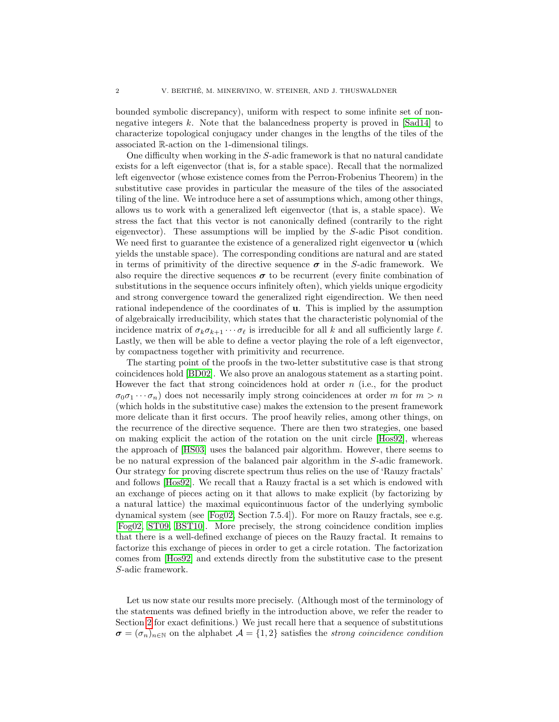bounded symbolic discrepancy), uniform with respect to some infinite set of nonnegative integers k. Note that the balancedness property is proved in [\[Sad14\]](#page-10-8) to characterize topological conjugacy under changes in the lengths of the tiles of the associated R-action on the 1-dimensional tilings.

One difficulty when working in the S-adic framework is that no natural candidate exists for a left eigenvector (that is, for a stable space). Recall that the normalized left eigenvector (whose existence comes from the Perron-Frobenius Theorem) in the substitutive case provides in particular the measure of the tiles of the associated tiling of the line. We introduce here a set of assumptions which, among other things, allows us to work with a generalized left eigenvector (that is, a stable space). We stress the fact that this vector is not canonically defined (contrarily to the right eigenvector). These assumptions will be implied by the S-adic Pisot condition. We need first to guarantee the existence of a generalized right eigenvector **u** (which yields the unstable space). The corresponding conditions are natural and are stated in terms of primitivity of the directive sequence  $\sigma$  in the S-adic framework. We also require the directive sequences  $\sigma$  to be recurrent (every finite combination of substitutions in the sequence occurs infinitely often), which yields unique ergodicity and strong convergence toward the generalized right eigendirection. We then need rational independence of the coordinates of u. This is implied by the assumption of algebraically irreducibility, which states that the characteristic polynomial of the incidence matrix of  $\sigma_k \sigma_{k+1} \cdots \sigma_\ell$  is irreducible for all k and all sufficiently large  $\ell$ . Lastly, we then will be able to define a vector playing the role of a left eigenvector, by compactness together with primitivity and recurrence.

The starting point of the proofs in the two-letter substitutive case is that strong coincidences hold [\[BD02\]](#page-9-0). We also prove an analogous statement as a starting point. However the fact that strong coincidences hold at order  $n$  (i.e., for the product  $\sigma_0 \sigma_1 \cdots \sigma_n$  does not necessarily imply strong coincidences at order m for  $m > n$ (which holds in the substitutive case) makes the extension to the present framework more delicate than it first occurs. The proof heavily relies, among other things, on the recurrence of the directive sequence. There are then two strategies, one based on making explicit the action of the rotation on the unit circle [\[Hos92\]](#page-10-0), whereas the approach of [\[HS03\]](#page-10-1) uses the balanced pair algorithm. However, there seems to be no natural expression of the balanced pair algorithm in the S-adic framework. Our strategy for proving discrete spectrum thus relies on the use of 'Rauzy fractals' and follows [\[Hos92\]](#page-10-0). We recall that a Rauzy fractal is a set which is endowed with an exchange of pieces acting on it that allows to make explicit (by factorizing by a natural lattice) the maximal equicontinuous factor of the underlying symbolic dynamical system (see [\[Fog02,](#page-10-9) Section 7.5.4]). For more on Rauzy fractals, see e.g. [\[Fog02,](#page-10-9) [ST09,](#page-10-10) [BST10\]](#page-9-1). More precisely, the strong coincidence condition implies that there is a well-defined exchange of pieces on the Rauzy fractal. It remains to factorize this exchange of pieces in order to get a circle rotation. The factorization comes from [\[Hos92\]](#page-10-0) and extends directly from the substitutive case to the present S-adic framework.

Let us now state our results more precisely. (Although most of the terminology of the statements was defined briefly in the introduction above, we refer the reader to Section [2](#page-2-0) for exact definitions.) We just recall here that a sequence of substitutions  $\sigma = (\sigma_n)_{n \in \mathbb{N}}$  on the alphabet  $\mathcal{A} = \{1, 2\}$  satisfies the strong coincidence condition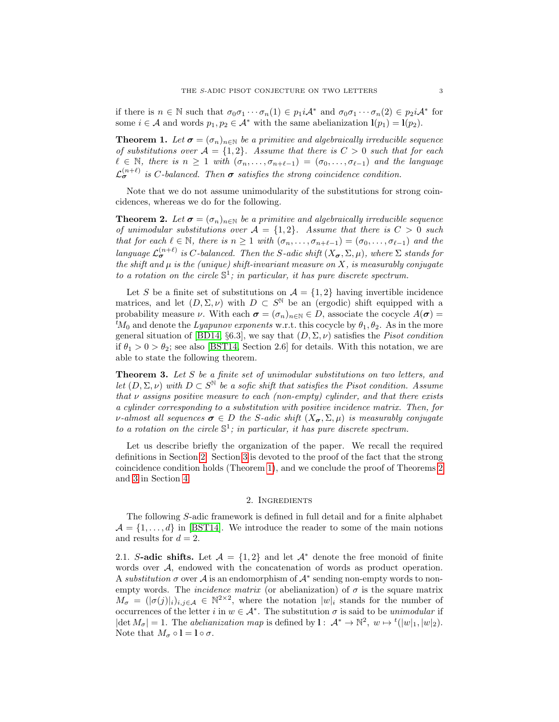if there is  $n \in \mathbb{N}$  such that  $\sigma_0 \sigma_1 \cdots \sigma_n(1) \in p_1 i \mathcal{A}^*$  and  $\sigma_0 \sigma_1 \cdots \sigma_n(2) \in p_2 i \mathcal{A}^*$  for some  $i \in \mathcal{A}$  and words  $p_1, p_2 \in \mathcal{A}^*$  with the same abelianization  $\mathbf{l}(p_1) = \mathbf{l}(p_2)$ .

<span id="page-2-1"></span>**Theorem 1.** Let  $\sigma = (\sigma_n)_{n \in \mathbb{N}}$  be a primitive and algebraically irreducible sequence of substitutions over  $A = \{1,2\}$ . Assume that there is  $C > 0$  such that for each  $\ell \in \mathbb{N}$ , there is  $n \geq 1$  with  $(\sigma_n, \ldots, \sigma_{n+\ell-1}) = (\sigma_0, \ldots, \sigma_{\ell-1})$  and the language  $\mathcal{L}_{\sigma}^{(n+\ell)}$  is C-balanced. Then  $\sigma$  satisfies the strong coincidence condition.

Note that we do not assume unimodularity of the substitutions for strong coincidences, whereas we do for the following.

<span id="page-2-2"></span>**Theorem 2.** Let  $\sigma = (\sigma_n)_{n \in \mathbb{N}}$  be a primitive and algebraically irreducible sequence of unimodular substitutions over  $A = \{1, 2\}$ . Assume that there is  $C > 0$  such that for each  $\ell \in \mathbb{N}$ , there is  $n \geq 1$  with  $(\sigma_n, \ldots, \sigma_{n+\ell-1}) = (\sigma_0, \ldots, \sigma_{\ell-1})$  and the language  $\mathcal{L}_{\sigma}^{(n+\ell)}$  is C-balanced. Then the S-adic shift  $(X_{\sigma}, \Sigma, \mu)$ , where  $\Sigma$  stands for the shift and  $\mu$  is the (unique) shift-invariant measure on X, is measurably conjugate to a rotation on the circle  $\mathbb{S}^1$ ; in particular, it has pure discrete spectrum.

Let S be a finite set of substitutions on  $A = \{1, 2\}$  having invertible incidence matrices, and let  $(D, \Sigma, \nu)$  with  $D \subset S^{\mathbb{N}}$  be an (ergodic) shift equipped with a probability measure  $\nu$ . With each  $\sigma = (\sigma_n)_{n \in \mathbb{N}} \in D$ , associate the cocycle  $A(\sigma)$  ${}^tM_0$  and denote the *Lyapunov exponents* w.r.t. this cocycle by  $\theta_1, \theta_2$ . As in the more general situation of [\[BD14,](#page-9-5) §6.3], we say that  $(D, \Sigma, \nu)$  satisfies the *Pisot condition* if  $\theta_1 > 0 > \theta_2$ ; see also [\[BST14,](#page-9-6) Section 2.6] for details. With this notation, we are able to state the following theorem.

<span id="page-2-3"></span>**Theorem 3.** Let S be a finite set of unimodular substitutions on two letters, and let  $(D, \Sigma, \nu)$  with  $D \subset S^{\mathbb{N}}$  be a sofic shift that satisfies the Pisot condition. Assume that  $\nu$  assigns positive measure to each (non-empty) cylinder, and that there exists a cylinder corresponding to a substitution with positive incidence matrix. Then, for v-almost all sequences  $\sigma \in D$  the S-adic shift  $(X_{\sigma}, \Sigma, \mu)$  is measurably conjugate to a rotation on the circle  $\mathbb{S}^1$ ; in particular, it has pure discrete spectrum.

Let us describe briefly the organization of the paper. We recall the required definitions in Section [2.](#page-2-0) Section [3](#page-5-0) is devoted to the proof of the fact that the strong coincidence condition holds (Theorem [1\)](#page-2-1), and we conclude the proof of Theorems [2](#page-2-2) and [3](#page-2-3) in Section [4.](#page-8-0)

## 2. Ingredients

<span id="page-2-0"></span>The following S-adic framework is defined in full detail and for a finite alphabet  $\mathcal{A} = \{1, \ldots, d\}$  in [\[BST14\]](#page-9-6). We introduce the reader to some of the main notions and results for  $d = 2$ .

2.1. S-adic shifts. Let  $\mathcal{A} = \{1,2\}$  and let  $\mathcal{A}^*$  denote the free monoid of finite words over A, endowed with the concatenation of words as product operation. A substitution  $\sigma$  over  $\mathcal A$  is an endomorphism of  $\mathcal A^*$  sending non-empty words to nonempty words. The *incidence matrix* (or abelianization) of  $\sigma$  is the square matrix  $M_{\sigma} = (|\sigma(j)|_i)_{i,j \in \mathcal{A}} \in \mathbb{N}^{2 \times 2}$ , where the notation  $|w|_i$  stands for the number of occurrences of the letter i in  $w \in A^*$ . The substitution  $\sigma$  is said to be unimodular if  $|\det M_{\sigma}| = 1$ . The abelianization map is defined by  $\mathbf{l}: A^* \to \mathbb{N}^2$ ,  $w \mapsto {}^t(|w|_1, |w|_2)$ . Note that  $M_{\sigma} \circ \mathbf{l} = \mathbf{l} \circ \sigma$ .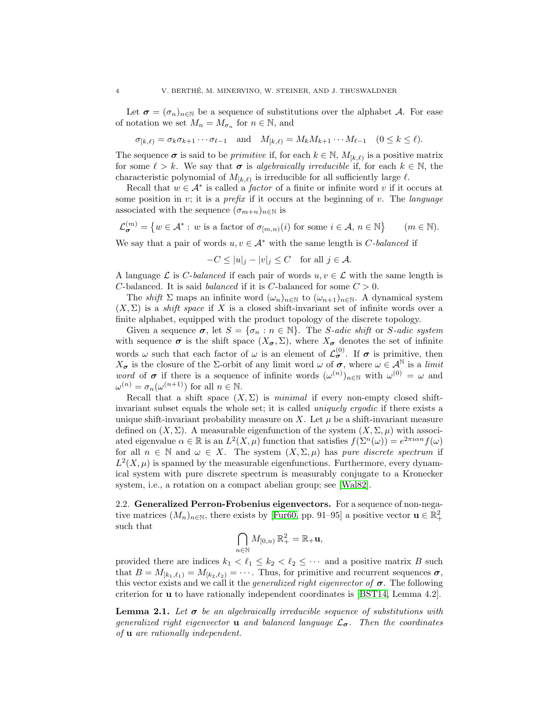Let  $\sigma = (\sigma_n)_{n \in \mathbb{N}}$  be a sequence of substitutions over the alphabet A. For ease of notation we set  $M_n = M_{\sigma_n}$  for  $n \in \mathbb{N}$ , and

$$
\sigma_{[k,\ell)} = \sigma_k \sigma_{k+1} \cdots \sigma_{\ell-1} \quad \text{and} \quad M_{[k,\ell)} = M_k M_{k+1} \cdots M_{\ell-1} \quad (0 \le k \le \ell).
$$

The sequence  $\sigma$  is said to be *primitive* if, for each  $k \in \mathbb{N}$ ,  $M_{[k,\ell)}$  is a positive matrix for some  $\ell > k$ . We say that  $\sigma$  is algebraically irreducible if, for each  $k \in \mathbb{N}$ , the characteristic polynomial of  $M_{[k,\ell)}$  is irreducible for all sufficiently large  $\ell$ .

Recall that  $w \in A^*$  is called a *factor* of a finite or infinite word v if it occurs at some position in v; it is a *prefix* if it occurs at the beginning of v. The *language* associated with the sequence  $(\sigma_{m+n})_{n\in\mathbb{N}}$  is

$$
\mathcal{L}_{\sigma}^{(m)} = \left\{ w \in \mathcal{A}^* : w \text{ is a factor of } \sigma_{[m,n)}(i) \text{ for some } i \in \mathcal{A}, n \in \mathbb{N} \right\} \qquad (m \in \mathbb{N}).
$$

We say that a pair of words  $u, v \in A^*$  with the same length is *C*-balanced if

$$
-C \le |u|_j - |v|_j \le C \quad \text{for all } j \in \mathcal{A}.
$$

A language  $\mathcal L$  is *C*-balanced if each pair of words  $u, v \in \mathcal L$  with the same length is C-balanced. It is said *balanced* if it is C-balanced for some  $C > 0$ .

The shift  $\Sigma$  maps an infinite word  $(\omega_n)_{n\in\mathbb{N}}$  to  $(\omega_{n+1})_{n\in\mathbb{N}}$ . A dynamical system  $(X, \Sigma)$  is a *shift space* if X is a closed shift-invariant set of infinite words over a finite alphabet, equipped with the product topology of the discrete topology.

Given a sequence  $\sigma$ , let  $S = {\sigma_n : n \in \mathbb{N}}$ . The *S*-adic shift or *S*-adic system with sequence  $\sigma$  is the shift space  $(X_{\sigma}, \Sigma)$ , where  $X_{\sigma}$  denotes the set of infinite words  $\omega$  such that each factor of  $\omega$  is an element of  $\mathcal{L}^{(0)}_{\sigma}$ . If  $\sigma$  is primitive, then  $X_{\sigma}$  is the closure of the *Σ*-orbit of any limit word  $\omega$  of  $\sigma$ , where  $\omega \in A^{\mathbb{N}}$  is a *limit* word of  $\sigma$  if there is a sequence of infinite words  $(\omega^{(n)})_{n\in\mathbb{N}}$  with  $\omega^{(0)} = \omega$  and  $\omega^{(n)} = \sigma_n(\omega^{(n+1)})$  for all  $n \in \mathbb{N}$ .

Recall that a shift space  $(X, \Sigma)$  is minimal if every non-empty closed shiftinvariant subset equals the whole set; it is called *uniquely ergodic* if there exists a unique shift-invariant probability measure on X. Let  $\mu$  be a shift-invariant measure defined on  $(X, \Sigma)$ . A measurable eigenfunction of the system  $(X, \Sigma, \mu)$  with associated eigenvalue  $\alpha \in \mathbb{R}$  is an  $L^2(X, \mu)$  function that satisfies  $f(\Sigma^n(\omega)) = e^{2\pi i \alpha n} f(\omega)$ for all  $n \in \mathbb{N}$  and  $\omega \in X$ . The system  $(X, \Sigma, \mu)$  has pure discrete spectrum if  $L^2(X,\mu)$  is spanned by the measurable eigenfunctions. Furthermore, every dynamical system with pure discrete spectrum is measurably conjugate to a Kronecker system, i.e., a rotation on a compact abelian group; see [\[Wal82\]](#page-10-11).

2.2. Generalized Perron-Frobenius eigenvectors. For a sequence of non-negative matrices  $(M_n)_{n \in \mathbb{N}}$ , there exists by [\[Fur60,](#page-10-12) pp. 91–95] a positive vector  $\mathbf{u} \in \mathbb{R}_+^2$ such that

$$
\bigcap_{n\in\mathbb{N}}M_{[0,n)}\,\mathbb{R}^2_+=\mathbb{R}_+\mathbf{u},
$$

provided there are indices  $k_1 < \ell_1 \leq k_2 < \ell_2 \leq \cdots$  and a positive matrix B such that  $B = M_{[k_1,\ell_1)} = M_{[k_2,\ell_2)} = \cdots$ . Thus, for primitive and recurrent sequences  $\sigma$ , this vector exists and we call it the *generalized right eigenvector of*  $\sigma$ . The following criterion for u to have rationally independent coordinates is [\[BST14,](#page-9-6) Lemma 4.2].

<span id="page-3-0"></span>**Lemma 2.1.** Let  $\sigma$  be an algebraically irreducible sequence of substitutions with generalized right eigenvector **u** and balanced language  $\mathcal{L}_{\sigma}$ . Then the coordinates of u are rationally independent.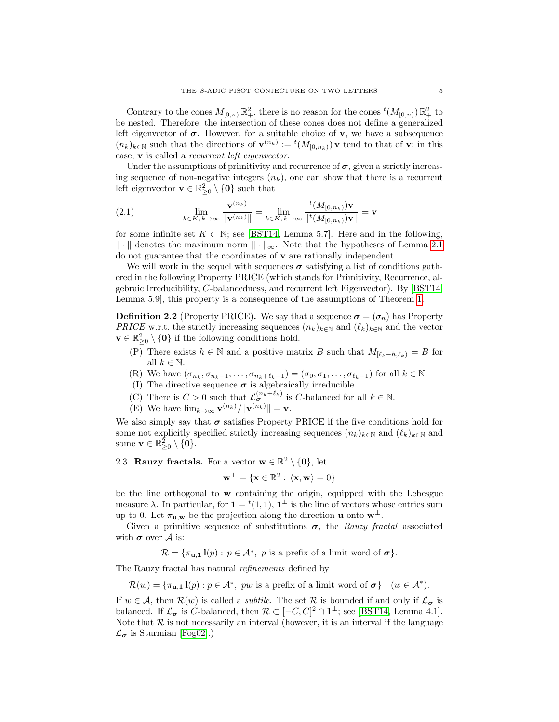Contrary to the cones  $M_{[0,n)} \mathbb{R}^2_+$ , there is no reason for the cones  ${}^t(M_{[0,n)}) \mathbb{R}^2_+$  to be nested. Therefore, the intersection of these cones does not define a generalized left eigenvector of  $\sigma$ . However, for a suitable choice of **v**, we have a subsequence  $(n_k)_{k\in\mathbb{N}}$  such that the directions of  $\mathbf{v}^{(n_k)} := {}^t(M_{[0,n_k)})\mathbf{v}$  tend to that of  $\mathbf{v}$ ; in this case, v is called a recurrent left eigenvector.

Under the assumptions of primitivity and recurrence of  $\sigma$ , given a strictly increasing sequence of non-negative integers  $(n_k)$ , one can show that there is a recurrent left eigenvector  $\mathbf{v} \in \mathbb{R}^2_{\geq 0} \setminus \{\mathbf{0}\}\$  such that

(2.1) 
$$
\lim_{k \in K, k \to \infty} \frac{\mathbf{v}^{(n_k)}}{\|\mathbf{v}^{(n_k)}\|} = \lim_{k \in K, k \to \infty} \frac{t(M_{[0,n_k)})\mathbf{v}}{\|t(M_{[0,n_k)})\mathbf{v}\|} = \mathbf{v}
$$

for some infinite set  $K \subset \mathbb{N}$ ; see [\[BST14,](#page-9-6) Lemma 5.7]. Here and in the following,  $\|\cdot\|$  denotes the maximum norm  $\|\cdot\|_{\infty}$ . Note that the hypotheses of Lemma [2.1](#page-3-0) do not guarantee that the coordinates of  $\bf{v}$  are rationally independent.

We will work in the sequel with sequences  $\sigma$  satisfying a list of conditions gathered in the following Property PRICE (which stands for Primitivity, Recurrence, algebraic Irreducibility, C-balancedness, and recurrent left Eigenvector). By [\[BST14,](#page-9-6) Lemma 5.9], this property is a consequence of the assumptions of Theorem [1.](#page-2-1)

<span id="page-4-0"></span>**Definition 2.2** (Property PRICE). We say that a sequence  $\sigma = (\sigma_n)$  has Property PRICE w.r.t. the strictly increasing sequences  $(n_k)_{k\in\mathbb{N}}$  and  $(\ell_k)_{k\in\mathbb{N}}$  and the vector  $\mathbf{v} \in \mathbb{R}_{\geq 0}^2 \setminus \{\mathbf{0}\}\$ if the following conditions hold.

- (P) There exists  $h \in \mathbb{N}$  and a positive matrix B such that  $M_{[\ell_k-h,\ell_k)} = B$  for all  $k \in \mathbb{N}$ .
- (R) We have  $(\sigma_{n_k}, \sigma_{n_k+1}, \ldots, \sigma_{n_k+\ell_k-1}) = (\sigma_0, \sigma_1, \ldots, \sigma_{\ell_k-1})$  for all  $k \in \mathbb{N}$ .
- (I) The directive sequence  $\pmb{\sigma}$  is algebraically irreducible.
- (C) There is  $C > 0$  such that  $\mathcal{L}_{\sigma}^{(n_k+\ell_k)}$  is C-balanced for all  $k \in \mathbb{N}$ .
- (E) We have  $\lim_{k\to\infty} \mathbf{v}^{(n_k)}/\|\mathbf{v}^{(n_k)}\| = \mathbf{v}.$

We also simply say that  $\sigma$  satisfies Property PRICE if the five conditions hold for some not explicitly specified strictly increasing sequences  $(n_k)_{k\in\mathbb{N}}$  and  $(\ell_k)_{k\in\mathbb{N}}$  and some  $\mathbf{v} \in \mathbb{R}_{\geq 0}^2 \setminus \{\mathbf{0}\}.$ 

2.3. Rauzy fractals. For a vector  $\mathbf{w} \in \mathbb{R}^2 \setminus \{\mathbf{0}\}\text{, let }$ 

$$
\mathbf{w}^{\perp} = \{ \mathbf{x} \in \mathbb{R}^2 : \ \langle \mathbf{x}, \mathbf{w} \rangle = 0 \}
$$

be the line orthogonal to w containing the origin, equipped with the Lebesgue measure  $\lambda$ . In particular, for  $\mathbf{1} = {}^{t}(1,1), \mathbf{1}^{\perp}$  is the line of vectors whose entries sum up to 0. Let  $\pi_{\mathbf{u},\mathbf{w}}$  be the projection along the direction **u** onto  $\mathbf{w}^{\perp}$ .

Given a primitive sequence of substitutions  $\sigma$ , the Rauzy fractal associated with  $\sigma$  over A is:

 $\mathcal{R} = \overline{\{\pi_{\mathbf{u},\mathbf{1}}\}(p) : p \in \mathcal{A}^*,\ p \text{ is a prefix of a limit word of }\sigma\}}.$ 

The Rauzy fractal has natural refinements defined by

 $\mathcal{R}(w) = \overline{\{\pi_{\mathbf{u},\mathbf{1}}\mathbf{l}(p) : p \in \mathcal{A}^*,\; pw \text{ is a prefix of a limit word of } \sigma\}} \quad (w \in \mathcal{A}^*).$ 

If  $w \in A$ , then  $\mathcal{R}(w)$  is called a *subtile*. The set  $\mathcal R$  is bounded if and only if  $\mathcal L_{\sigma}$  is balanced. If  $\mathcal{L}_{\sigma}$  is C-balanced, then  $\mathcal{R} \subset [-C, C]^2 \cap \mathbf{1}^{\perp}$ ; see [\[BST14,](#page-9-6) Lemma 4.1]. Note that  $R$  is not necessarily an interval (however, it is an interval if the language  $\mathcal{L}_{\sigma}$  is Sturmian [\[Fog02\]](#page-10-9).)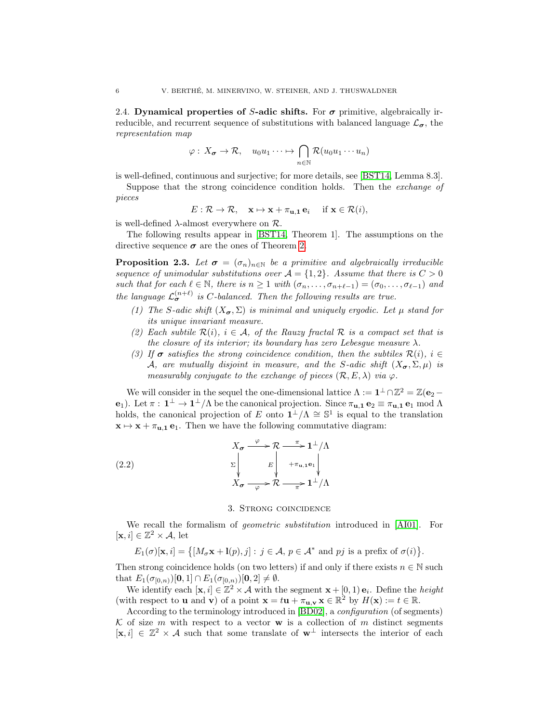<span id="page-5-1"></span>2.4. Dynamical properties of S-adic shifts. For  $\sigma$  primitive, algebraically irreducible, and recurrent sequence of substitutions with balanced language  $\mathcal{L}_{\sigma}$ , the representation map

$$
\varphi: X_{\sigma} \to \mathcal{R}, \quad u_0 u_1 \cdots \mapsto \bigcap_{n \in \mathbb{N}} \mathcal{R}(u_0 u_1 \cdots u_n)
$$

is well-defined, continuous and surjective; for more details, see [\[BST14,](#page-9-6) Lemma 8.3].

Suppose that the strong coincidence condition holds. Then the *exchange of* pieces

$$
E: \mathcal{R} \to \mathcal{R}, \quad \mathbf{x} \mapsto \mathbf{x} + \pi_{\mathbf{u}, \mathbf{1}} \mathbf{e}_i \quad \text{ if } \mathbf{x} \in \mathcal{R}(i),
$$

is well-defined  $\lambda$ -almost everywhere on  $\mathcal{R}$ .

The following results appear in [\[BST14,](#page-9-6) Theorem 1]. The assumptions on the directive sequence  $\sigma$  are the ones of Theorem [2.](#page-2-2)

<span id="page-5-3"></span>**Proposition 2.3.** Let  $\sigma = (\sigma_n)_{n \in \mathbb{N}}$  be a primitive and algebraically irreducible sequence of unimodular substitutions over  $A = \{1, 2\}$ . Assume that there is  $C > 0$ such that for each  $\ell \in \mathbb{N}$ , there is  $n \geq 1$  with  $(\sigma_n, \ldots, \sigma_{n+\ell-1}) = (\sigma_0, \ldots, \sigma_{\ell-1})$  and the language  $\mathcal{L}_{\sigma}^{(n+\ell)}$  is C-balanced. Then the following results are true.

- <span id="page-5-5"></span>(1) The S-adic shift  $(X_{\sigma}, \Sigma)$  is minimal and uniquely ergodic. Let  $\mu$  stand for its unique invariant measure.
- (2) Each subtile  $\mathcal{R}(i)$ ,  $i \in \mathcal{A}$ , of the Rauzy fractal  $\mathcal{R}$  is a compact set that is the closure of its interior; its boundary has zero Lebesque measure  $\lambda$ .
- <span id="page-5-4"></span>(3) If  $\sigma$  satisfies the strong coincidence condition, then the subtiles  $\mathcal{R}(i)$ ,  $i \in$ A, are mutually disjoint in measure, and the S-adic shift  $(X_{\sigma}, \Sigma, \mu)$  is measurably conjugate to the exchange of pieces  $(\mathcal{R}, E, \lambda)$  via  $\varphi$ .

We will consider in the sequel the one-dimensional lattice  $\Lambda := \mathbf{1}^{\perp} \cap \mathbb{Z}^2 = \mathbb{Z}(\mathbf{e}_2 - \mathbf{e}_1)$  $\mathbf{e}_1$ ). Let  $\pi: \mathbf{1}^{\perp} \to \mathbf{1}^{\perp}/\Lambda$  be the canonical projection. Since  $\pi_{\mathbf{u},\mathbf{1}} \mathbf{e}_2 \equiv \pi_{\mathbf{u},\mathbf{1}} \mathbf{e}_1 \bmod \Lambda$ holds, the canonical projection of E onto  $\mathbf{1}^{\perp}/\Lambda \cong \mathbb{S}^1$  is equal to the translation  $x \mapsto x + \pi_{u,1} e_1$ . Then we have the following commutative diagram:

(2.2) 
$$
X_{\sigma} \xrightarrow{\varphi} \mathcal{R} \xrightarrow{\pi} \mathbf{1}^{\perp}/\Lambda
$$

$$
\Sigma \downarrow \qquad E \downarrow \qquad + \pi_{\mathbf{u},\mathbf{1}} \mathbf{e}_1 \downarrow
$$

$$
X_{\sigma} \xrightarrow{\varphi} \mathcal{R} \xrightarrow{\pi} \mathbf{1}^{\perp}/\Lambda
$$

#### <span id="page-5-2"></span>3. Strong coincidence

<span id="page-5-0"></span>We recall the formalism of *geometric substitution* introduced in [\[AI01\]](#page-9-7). For  $[\mathbf{x}, i] \in \mathbb{Z}^2 \times \mathcal{A}$ , let

 $E_1(\sigma)[\mathbf{x}, i] = \{ [M_\sigma \mathbf{x} + \mathbf{l}(p), j] : j \in \mathcal{A}, p \in \mathcal{A}^* \text{ and } pj \text{ is a prefix of } \sigma(i) \}.$ 

Then strong coincidence holds (on two letters) if and only if there exists  $n \in \mathbb{N}$  such that  $E_1(\sigma_{[0,n)})[0,1] \cap E_1(\sigma_{[0,n)})[0,2] \neq \emptyset$ .

We identify each  $[\mathbf{x}, i] \in \mathbb{Z}^2 \times \mathcal{A}$  with the segment  $\mathbf{x} + [0, 1) \mathbf{e}_i$ . Define the *height* (with respect to **u** and **v**) of a point  $\mathbf{x} = t\mathbf{u} + \pi_{\mathbf{u},\mathbf{v}} \mathbf{x} \in \mathbb{R}^2$  by  $H(\mathbf{x}) := t \in \mathbb{R}$ .

According to the terminology introduced in [\[BD02\]](#page-9-0), a configuration (of segments) K of size m with respect to a vector w is a collection of m distinct segments  $[x, i] \in \mathbb{Z}^2 \times A$  such that some translate of  $\mathbf{w}^{\perp}$  intersects the interior of each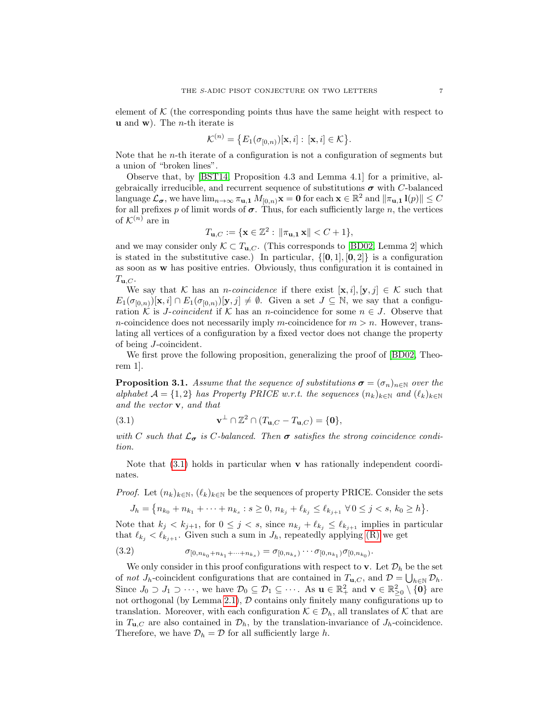element of  $\mathcal K$  (the corresponding points thus have the same height with respect to **u** and **w**). The *n*-th iterate is

$$
\mathcal{K}^{(n)} = \big\{ E_1(\sigma_{[0,n)})[\mathbf{x}, i] : [\mathbf{x}, i] \in \mathcal{K} \big\}.
$$

Note that he  $n$ -th iterate of a configuration is not a configuration of segments but a union of "broken lines".

Observe that, by [\[BST14,](#page-9-6) Proposition 4.3 and Lemma 4.1] for a primitive, algebraically irreducible, and recurrent sequence of substitutions  $\sigma$  with C-balanced language  $\mathcal{L}_{\sigma}$ , we have  $\lim_{n\to\infty} \pi_{\mathbf{u},\mathbf{1}} M_{[0,n)}\mathbf{x} = \mathbf{0}$  for each  $\mathbf{x} \in \mathbb{R}^2$  and  $\|\pi_{\mathbf{u},\mathbf{1}}\mathbf{1}(p)\| \leq C$ for all prefixes p of limit words of  $\sigma$ . Thus, for each sufficiently large n, the vertices of  $\mathcal{K}^{(n)}$  are in

$$
T_{\mathbf{u},C} := \{ \mathbf{x} \in \mathbb{Z}^2 : \|\pi_{\mathbf{u},\mathbf{1}} \mathbf{x}\| < C + 1 \},
$$

and we may consider only  $\mathcal{K} \subset T_{\mathbf{u},C}$ . (This corresponds to [\[BD02,](#page-9-0) Lemma 2] which is stated in the substitutive case.) In particular,  $\{[\mathbf{0}, 1], [\mathbf{0}, 2]\}$  is a configuration as soon as w has positive entries. Obviously, thus configuration it is contained in  $T_{\mathbf{u},C}$ .

We say that K has an *n-coincidence* if there exist  $[\mathbf{x}, i], [\mathbf{y}, j] \in \mathcal{K}$  such that  $E_1(\sigma_{[0,n)})[\mathbf{x}, i] \cap E_1(\sigma_{[0,n)})[\mathbf{y}, j] \neq \emptyset$ . Given a set  $J \subseteq \mathbb{N}$ , we say that a configuration K is *J-coincident* if K has an *n*-coincidence for some  $n \in J$ . Observe that n-coincidence does not necessarily imply m-coincidence for  $m > n$ . However, translating all vertices of a configuration by a fixed vector does not change the property of being J-coincident.

We first prove the following proposition, generalizing the proof of [\[BD02,](#page-9-0) Theorem 1].

<span id="page-6-1"></span>**Proposition 3.1.** Assume that the sequence of substitutions  $\sigma = (\sigma_n)_{n \in \mathbb{N}}$  over the alphabet  $\mathcal{A} = \{1, 2\}$  has Property PRICE w.r.t. the sequences  $(n_k)_{k \in \mathbb{N}}$  and  $(\ell_k)_{k \in \mathbb{N}}$ and the vector v, and that

<span id="page-6-0"></span>(3.1) 
$$
\mathbf{v}^{\perp} \cap \mathbb{Z}^2 \cap (T_{\mathbf{u},C} - T_{\mathbf{u},C}) = \{\mathbf{0}\},
$$

with C such that  $\mathcal{L}_{\sigma}$  is C-balanced. Then  $\sigma$  satisfies the strong coincidence condition.

Note that  $(3.1)$  holds in particular when **v** has rationally independent coordinates.

*Proof.* Let  $(n_k)_{k\in\mathbb{N}}, (\ell_k)_{k\in\mathbb{N}}$  be the sequences of property PRICE. Consider the sets

$$
J_h = \{n_{k_0} + n_{k_1} + \dots + n_{k_s} : s \ge 0, n_{k_j} + \ell_{k_j} \le \ell_{k_{j+1}} \ \forall \ 0 \le j < s, k_0 \ge h\}.
$$

Note that  $k_j < k_{j+1}$ , for  $0 \leq j < s$ , since  $n_{k_j} + \ell_{k_j} \leq \ell_{k_{j+1}}$  implies in particular that  $\ell_{k_j} < \ell_{k_{j+1}}$ . Given such a sum in  $J_h$ , repeatedly applying [\(R\)](#page-4-0) we get

(3.2) 
$$
\sigma_{[0,n_{k_0}+n_{k_1}+\cdots+n_{k_s})}=\sigma_{[0,n_{k_s})}\cdots \sigma_{[0,n_{k_1})}\sigma_{[0,n_{k_0})}.
$$

We only consider in this proof configurations with respect to **v**. Let  $\mathcal{D}_h$  be the set of not  $J_h$ -coincident configurations that are contained in  $T_{\mathbf{u},C}$ , and  $\mathcal{D} = \bigcup_{h \in \mathbb{N}} \mathcal{D}_h$ . Since  $J_0 \supset J_1 \supset \cdots$ , we have  $\mathcal{D}_0 \subseteq \mathcal{D}_1 \subseteq \cdots$ . As  $\mathbf{u} \in \mathbb{R}^2_+$  and  $\mathbf{v} \in \mathbb{R}^2_{\geq 0} \setminus \{ \mathbf{0} \}$  are not orthogonal (by Lemma [2.1\)](#page-3-0),  $D$  contains only finitely many configurations up to translation. Moreover, with each configuration  $\mathcal{K} \in \mathcal{D}_h$ , all translates of  $\mathcal K$  that are in  $T_{\mathbf{u},C}$  are also contained in  $\mathcal{D}_h$ , by the translation-invariance of  $J_h$ -coincidence. Therefore, we have  $\mathcal{D}_h = \mathcal{D}$  for all sufficiently large h.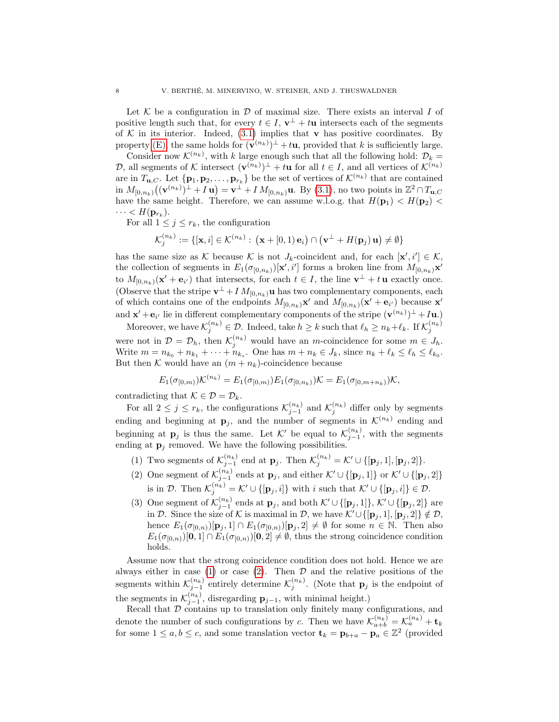Let  $K$  be a configuration in  $D$  of maximal size. There exists an interval I of positive length such that, for every  $t \in I$ ,  $\mathbf{v}^{\perp} + t\mathbf{u}$  intersects each of the segments of  $K$  in its interior. Indeed, [\(3.1\)](#page-6-0) implies that **v** has positive coordinates. By property [\(E\),](#page-4-0) the same holds for  $(\mathbf{v}^{(n_k)})^{\perp} + t\mathbf{u}$ , provided that k is sufficiently large.

Consider now  $\mathcal{K}^{(n_k)}$ , with k large enough such that all the following hold:  $\mathcal{D}_k =$ D, all segments of K intersect  $(\mathbf{v}^{(n_k)})^{\perp} + t\mathbf{u}$  for all  $t \in I$ , and all vertices of  $\mathcal{K}^{(n_k)}$ are in  $T_{\mathbf{u},C}$ . Let  $\{\mathbf{p}_1,\mathbf{p}_2,\ldots,\mathbf{p}_{r_k}\}\$  be the set of vertices of  $\mathcal{K}^{(n_k)}$  that are contained in  $M_{[0,n_k)}((\mathbf{v}^{(n_k)})^{\perp}+I\mathbf{u})=\mathbf{v}^{\perp}+I\,M_{[0,n_k)}\mathbf{u}$ . By [\(3.1\)](#page-6-0), no two points in  $\mathbb{Z}^2\cap T_{\mathbf{u},C}$ have the same height. Therefore, we can assume w.l.o.g. that  $H(\mathbf{p}_1) < H(\mathbf{p}_2)$  $\cdots < H(\mathbf{p}_{r_k}).$ 

For all  $1 \leq j \leq r_k$ , the configuration

$$
\mathcal{K}_j^{(n_k)} := \{[\mathbf{x}, i] \in \mathcal{K}^{(n_k)} : (\mathbf{x} + [0, 1) \mathbf{e}_i) \cap (\mathbf{v}^\perp + H(\mathbf{p}_j) \mathbf{u}) \neq \emptyset\}
$$

has the same size as K because K is not  $J_k$ -coincident and, for each  $[\mathbf{x}', i'] \in \mathcal{K}$ , the collection of segments in  $E_1(\sigma_{[0,n_k)})[{\bf x}', i']$  forms a broken line from  $M_{[0,n_k)}{\bf x}'$ to  $M_{[0,n_k)}(\mathbf{x}' + \mathbf{e}_{i'})$  that intersects, for each  $t \in I$ , the line  $\mathbf{v}^{\perp} + t\mathbf{u}$  exactly once. (Observe that the stripe  $\mathbf{v}^{\perp} + I M_{[0,n_k)} \mathbf{u}$  has two complementary components, each of which contains one of the endpoints  $M_{[0,n_k)}\mathbf{x}'$  and  $M_{[0,n_k)}(\mathbf{x}' + \mathbf{e}_{i'})$  because  $\mathbf{x}'$ and  $\mathbf{x}' + \mathbf{e}_{i'}$  lie in different complementary components of the stripe  $(\mathbf{v}^{(n_k)})^{\perp} + I\mathbf{u}$ .

Moreover, we have  $\mathcal{K}_j^{(n_k)} \in \mathcal{D}$ . Indeed, take  $h \geq k$  such that  $\ell_h \geq n_k + \ell_k$ . If  $\mathcal{K}_j^{(n_k)}$ were not in  $\mathcal{D} = \mathcal{D}_h$ , then  $\mathcal{K}_j^{(n_k)}$  would have an *m*-coincidence for some  $m \in J_h$ . Write  $m = n_{k_0} + n_{k_1} + \cdots + n_{k_s}$ . One has  $m + n_k \in J_k$ , since  $n_k + \ell_k \leq \ell_k \leq \ell_{k_0}$ . But then K would have an  $(m + n_k)$ -coincidence because

$$
E_1(\sigma_{[0,m)})\mathcal{K}^{(n_k)} = E_1(\sigma_{[0,m)})E_1(\sigma_{[0,n_k)})\mathcal{K} = E_1(\sigma_{[0,m+n_k)})\mathcal{K},
$$

contradicting that  $\mathcal{K} \in \mathcal{D} = \mathcal{D}_k$ .

For all  $2 \leq j \leq r_k$ , the configurations  $\mathcal{K}_{j-1}^{(n_k)}$  and  $\mathcal{K}_{j}^{(n_k)}$  differ only by segments ending and beginning at  $\mathbf{p}_j$ , and the number of segments in  $\mathcal{K}^{(n_k)}$  ending and beginning at  $\mathbf{p}_j$  is thus the same. Let K' be equal to  $\mathcal{K}_{j-1}^{(n_k)}$ , with the segments ending at  $\mathbf{p}_j$  removed. We have the following possibilities.

- <span id="page-7-0"></span>(1) Two segments of  $\mathcal{K}_{j-1}^{(n_k)}$  end at  $\mathbf{p}_j$ . Then  $\mathcal{K}_j^{(n_k)} = \mathcal{K}' \cup \{[\mathbf{p}_j, 1], [\mathbf{p}_j, 2]\}.$
- <span id="page-7-1"></span>(2) One segment of  $\mathcal{K}_{j-1}^{(n_k)}$  ends at  $\mathbf{p}_j$ , and either  $\mathcal{K}' \cup \{[\mathbf{p}_j, 1]\}$  or  $\mathcal{K}' \cup \{[\mathbf{p}_j, 2]\}$ is in D. Then  $\mathcal{K}_j^{(n_k)} = \mathcal{K}' \cup \{[\mathbf{p}_j, i]\}\$  with i such that  $\mathcal{K}' \cup \{[\mathbf{p}_j, i]\} \in \mathcal{D}$ .
- (3) One segment of  $\mathcal{K}_{j-1}^{(n_k)}$  ends at  $\mathbf{p}_j$ , and both  $\mathcal{K}' \cup \{[\mathbf{p}_j,1]\}, \mathcal{K}' \cup \{[\mathbf{p}_j,2]\}$  are in D. Since the size of K is maximal in D, we have  $\mathcal{K}' \cup \{[\mathbf{p}_j, 1], [\mathbf{p}_j, 2]\} \notin \mathcal{D}$ , hence  $E_1(\sigma_{[0,n)})[\mathbf{p}_j,1] \cap E_1(\sigma_{[0,n)})[\mathbf{p}_j,2] \neq \emptyset$  for some  $n \in \mathbb{N}$ . Then also  $E_1(\sigma_{[0,n)})[0,1] \cap E_1(\sigma_{[0,n)})[0,2] \neq \emptyset$ , thus the strong coincidence condition holds.

Assume now that the strong coincidence condition does not hold. Hence we are always either in case [\(1\)](#page-7-0) or case [\(2\)](#page-7-1). Then  $D$  and the relative positions of the segments within  $\mathcal{K}_{j-1}^{(n_k)}$  entirely determine  $\mathcal{K}_j^{(n_k)}$ . (Note that  $\mathbf{p}_j$  is the endpoint of the segments in  $\mathcal{K}_{j-1}^{(n_k)}$ , disregarding  $\mathbf{p}_{j-1}$ , with minimal height.)

Recall that  $D$  contains up to translation only finitely many configurations, and denote the number of such configurations by c. Then we have  $\mathcal{K}_{a+b}^{(n_k)} = \mathcal{K}_{a}^{(n_k)} + \mathbf{t}_k$ for some  $1 \le a, b \le c$ , and some translation vector  $\mathbf{t}_k = \mathbf{p}_{b+a} - \mathbf{p}_a \in \mathbb{Z}^2$  (provided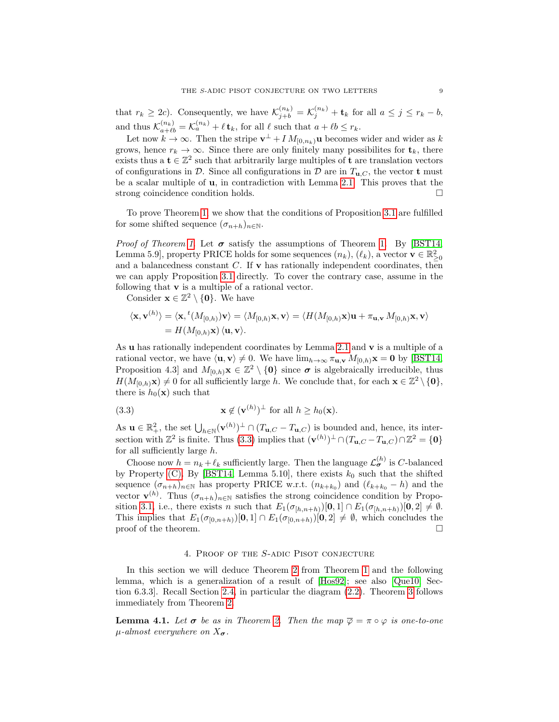that  $r_k \geq 2c$ ). Consequently, we have  $\mathcal{K}_{j+b}^{(n_k)} = \mathcal{K}_j^{(n_k)} + \mathbf{t}_k$  for all  $a \leq j \leq r_k - b$ , and thus  $\mathcal{K}_{a+\ell b}^{(n_k)} = \mathcal{K}_a^{(n_k)} + \ell \mathbf{t}_k$ , for all  $\ell$  such that  $a + \ell b \leq r_k$ .

Let now  $k \to \infty$ . Then the stripe  $\mathbf{v}^{\perp} + I M_{[0,n_k)}\mathbf{u}$  becomes wider and wider as k grows, hence  $r_k \to \infty$ . Since there are only finitely many possibilities for  $\mathbf{t}_k$ , there exists thus a  $t \in \mathbb{Z}^2$  such that arbitrarily large multiples of t are translation vectors of configurations in  $\mathcal D$ . Since all configurations in  $\mathcal D$  are in  $T_{\mathbf u,C}$ , the vector **t** must be a scalar multiple of u, in contradiction with Lemma [2.1.](#page-3-0) This proves that the strong coincidence condition holds.

To prove Theorem [1,](#page-2-1) we show that the conditions of Proposition [3.1](#page-6-1) are fulfilled for some shifted sequence  $(\sigma_{n+h})_{n\in\mathbb{N}}$ .

*Proof of Theorem [1.](#page-2-1)* Let  $\sigma$  satisfy the assumptions of Theorem 1. By [\[BST14,](#page-9-6) Lemma 5.9, property PRICE holds for some sequences  $(n_k)$ ,  $(\ell_k)$ , a vector  $\mathbf{v} \in \mathbb{R}^2_{\geq 0}$ and a balancedness constant  $C$ . If **v** has rationally independent coordinates, then we can apply Proposition [3.1](#page-6-1) directly. To cover the contrary case, assume in the following that v is a multiple of a rational vector.

Consider  $\mathbf{x} \in \mathbb{Z}^2 \setminus \{\mathbf{0}\}\$ . We have

 $\mathcal{L}$ 

$$
\langle \mathbf{x}, \mathbf{v}^{(h)} \rangle = \langle \mathbf{x}, {}^{t} (M_{[0,h)}) \mathbf{v} \rangle = \langle M_{[0,h)} \mathbf{x}, \mathbf{v} \rangle = \langle H(M_{[0,h)} \mathbf{x}) \mathbf{u} + \pi_{\mathbf{u}, \mathbf{v}} M_{[0,h)} \mathbf{x}, \mathbf{v} \rangle
$$
  
=  $H(M_{[0,h)} \mathbf{x}) \langle \mathbf{u}, \mathbf{v} \rangle$ .

As u has rationally independent coordinates by Lemma [2.1](#page-3-0) and v is a multiple of a rational vector, we have  $\langle \mathbf{u}, \mathbf{v} \rangle \neq 0$ . We have  $\lim_{h\to\infty} \pi_{\mathbf{u},\mathbf{v}} M_{[0,h)}\mathbf{x} = \mathbf{0}$  by [\[BST14,](#page-9-6) Proposition 4.3] and  $M_{[0,h)}\mathbf{x} \in \mathbb{Z}^2 \setminus \{\mathbf{0}\}\$  since  $\sigma$  is algebraically irreducible, thus  $H(M_{[0,h)}\mathbf{x}) \neq 0$  for all sufficiently large h. We conclude that, for each  $\mathbf{x} \in \mathbb{Z}^2 \setminus \{\mathbf{0}\},\$ there is  $h_0(\mathbf{x})$  such that

<span id="page-8-1"></span>(3.3) 
$$
\mathbf{x} \notin (\mathbf{v}^{(h)})^{\perp} \text{ for all } h \ge h_0(\mathbf{x}).
$$

As  $\mathbf{u} \in \mathbb{R}_+^2$ , the set  $\bigcup_{h \in \mathbb{N}} (\mathbf{v}^{(h)})^{\perp} \cap (T_{\mathbf{u},C} - T_{\mathbf{u},C})$  is bounded and, hence, its intersection with  $\mathbb{Z}^2$  is finite. Thus [\(3.3\)](#page-8-1) implies that  $(\mathbf{v}^{(h)})^\perp \cap (T_{\mathbf{u},C} - T_{\mathbf{u},C}) \cap \mathbb{Z}^2 = \{\mathbf{0}\}\$ for all sufficiently large h.

Choose now  $h = n_k + \ell_k$  sufficiently large. Then the language  $\mathcal{L}_{\sigma}^{(h)}$  is C-balanced by Property [\(C\).](#page-4-0) By [\[BST14,](#page-9-6) Lemma 5.10], there exists  $k_0$  such that the shifted sequence  $(\sigma_{n+h})_{n\in\mathbb{N}}$  has property PRICE w.r.t.  $(n_{k+k_0})$  and  $(\ell_{k+k_0} - h)$  and the vector  $\mathbf{v}^{(h)}$ . Thus  $(\sigma_{n+h})_{n\in\mathbb{N}}$  satisfies the strong coincidence condition by Propo-sition [3.1,](#page-6-1) i.e., there exists n such that  $E_1(\sigma_{[h,n+h)})[0,1] \cap E_1(\sigma_{[h,n+h)})[0,2] \neq \emptyset$ . This implies that  $E_1(\sigma_{[0,n+h)})[0,1] \cap E_1(\sigma_{[0,n+h)})[0,2] \neq \emptyset$ , which concludes the proof of the theorem.

#### 4. Proof of the S-adic Pisot conjecture

<span id="page-8-0"></span>In this section we will deduce Theorem [2](#page-2-2) from Theorem [1](#page-2-1) and the following lemma, which is a generalization of a result of [\[Hos92\]](#page-10-0); see also [\[Que10,](#page-10-13) Section 6.3.3]. Recall Section [2.4,](#page-5-1) in particular the diagram [\(2.2\)](#page-5-2). Theorem [3](#page-2-3) follows immediately from Theorem [2.](#page-2-2)

<span id="page-8-2"></span>**Lemma 4.1.** Let  $\sigma$  be as in Theorem [2.](#page-2-2) Then the map  $\overline{\varphi} = \pi \circ \varphi$  is one-to-one  $\mu$ -almost everywhere on  $X_{\sigma}$ .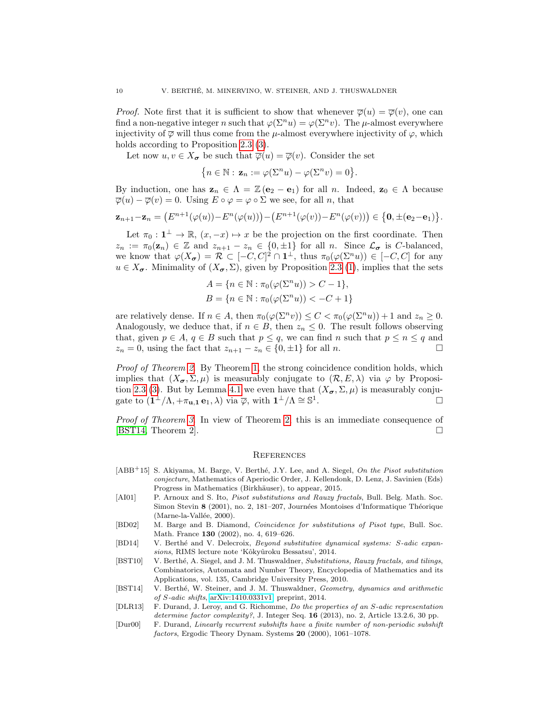*Proof.* Note first that it is sufficient to show that whenever  $\overline{\varphi}(u) = \overline{\varphi}(v)$ , one can find a non-negative integer n such that  $\varphi(\Sigma^n u) = \varphi(\Sigma^n v)$ . The  $\mu$ -almost everywhere injectivity of  $\overline{\varphi}$  will thus come from the  $\mu$ -almost everywhere injectivity of  $\varphi$ , which holds according to Proposition [2.3](#page-5-3) [\(3\)](#page-5-4).

Let now  $u, v \in X_{\sigma}$  be such that  $\overline{\varphi}(u) = \overline{\varphi}(v)$ . Consider the set

$$
\{n \in \mathbb{N}: \mathbf{z}_n := \varphi(\Sigma^n u) - \varphi(\Sigma^n v) = 0\}.
$$

By induction, one has  $\mathbf{z}_n \in \Lambda = \mathbb{Z}(\mathbf{e}_2 - \mathbf{e}_1)$  for all n. Indeed,  $\mathbf{z}_0 \in \Lambda$  because  $\overline{\varphi}(u) - \overline{\varphi}(v) = 0$ . Using  $E \circ \varphi = \varphi \circ \Sigma$  we see, for all n, that

$$
\mathbf{z}_{n+1} - \mathbf{z}_n = (E^{n+1}(\varphi(u)) - E^n(\varphi(u))) - (E^{n+1}(\varphi(v)) - E^n(\varphi(v))) \in \{0, \pm(e_2 - e_1)\}.
$$

Let  $\pi_0: \mathbf{1}^{\perp} \to \mathbb{R}, (x, -x) \mapsto x$  be the projection on the first coordinate. Then  $z_n := \pi_0(\mathbf{z}_n) \in \mathbb{Z}$  and  $z_{n+1} - z_n \in \{0, \pm 1\}$  for all n. Since  $\mathcal{L}_{\sigma}$  is C-balanced, we know that  $\varphi(X_{\sigma}) = \mathcal{R} \subset [-C, C]^2 \cap \mathbb{1}^{\perp}$ , thus  $\pi_0(\varphi(\Sigma^n u)) \in [-C, C]$  for any  $u \in X_{\sigma}$ . Minimality of  $(X_{\sigma}, \Sigma)$ , given by Proposition [2.3](#page-5-3) [\(1\)](#page-5-5), implies that the sets

$$
A = \{ n \in \mathbb{N} : \pi_0(\varphi(\Sigma^n u)) > C - 1 \},
$$
  

$$
B = \{ n \in \mathbb{N} : \pi_0(\varphi(\Sigma^n u)) < -C + 1 \}
$$

are relatively dense. If  $n \in A$ , then  $\pi_0(\varphi(\Sigma^n v)) \leq C < \pi_0(\varphi(\Sigma^n u)) + 1$  and  $z_n \geq 0$ . Analogously, we deduce that, if  $n \in B$ , then  $z_n \leq 0$ . The result follows observing that, given  $p \in A$ ,  $q \in B$  such that  $p \leq q$ , we can find n such that  $p \leq n \leq q$  and  $z_n = 0$ , using the fact that  $z_{n+1} - z_n \in \{0, \pm 1\}$  for all n.

Proof of Theorem [2.](#page-2-2) By Theorem [1,](#page-2-1) the strong coincidence condition holds, which implies that  $(X_{\sigma}, \Sigma, \mu)$  is measurably conjugate to  $(\mathcal{R}, E, \lambda)$  via  $\varphi$  by Proposi-tion [2.3](#page-5-3) [\(3\)](#page-5-4). But by Lemma [4.1](#page-8-2) we even have that  $(X_{\sigma}, \Sigma, \mu)$  is measurably conjugate to  $(1^{\perp}/\Lambda, +\pi_{u,1} e_1, \lambda)$  via  $\overline{\varphi}$ , with  $1^{\perp}/\Lambda \cong \mathbb{S}^1$ .

Proof of Theorem [3.](#page-2-3) In view of Theorem [2,](#page-2-2) this is an immediate consequence of [\[BST14,](#page-9-6) Theorem 2].

## **REFERENCES**

- <span id="page-9-2"></span>[ABB<sup>+</sup>15] S. Akiyama, M. Barge, V. Berthé, J.Y. Lee, and A. Siegel, On the Pisot substitution conjecture, Mathematics of Aperiodic Order, J. Kellendonk, D. Lenz, J. Savinien (Eds) Progress in Mathematics (Birkhäuser), to appear, 2015.
- <span id="page-9-7"></span>[AI01] P. Arnoux and S. Ito, *Pisot substitutions and Rauzy fractals*, Bull. Belg. Math. Soc. Simon Stevin 8 (2001), no. 2, 181-207, Journées Montoises d'Informatique Théorique (Marne-la-Vallée, 2000).
- <span id="page-9-0"></span>[BD02] M. Barge and B. Diamond, Coincidence for substitutions of Pisot type, Bull. Soc. Math. France 130 (2002), no. 4, 619–626.
- <span id="page-9-5"></span>[BD14] V. Berthé and V. Delecroix, Beyond substitutive dynamical systems: S-adic expansions, RIMS lecture note 'Kôkyûroku Bessatsu', 2014.
- <span id="page-9-1"></span>[BST10] V. Berthé, A. Siegel, and J. M. Thuswaldner, Substitutions, Rauzy fractals, and tilings, Combinatorics, Automata and Number Theory, Encyclopedia of Mathematics and its Applications, vol. 135, Cambridge University Press, 2010.
- <span id="page-9-6"></span>[BST14] V. Berthé, W. Steiner, and J. M. Thuswaldner, Geometry, dynamics and arithmetic of S-adic shifts, [arXiv:1410.0331v1,](http://arxiv.org/abs/1410.0331v1) preprint, 2014.
- <span id="page-9-4"></span>[DLR13] F. Durand, J. Leroy, and G. Richomme, Do the properties of an S-adic representation determine factor complexity?, J. Integer Seq. 16 (2013), no. 2, Article 13.2.6, 30 pp.
- <span id="page-9-3"></span>[Dur00] F. Durand, Linearly recurrent subshifts have a finite number of non-periodic subshift factors, Ergodic Theory Dynam. Systems 20 (2000), 1061–1078.